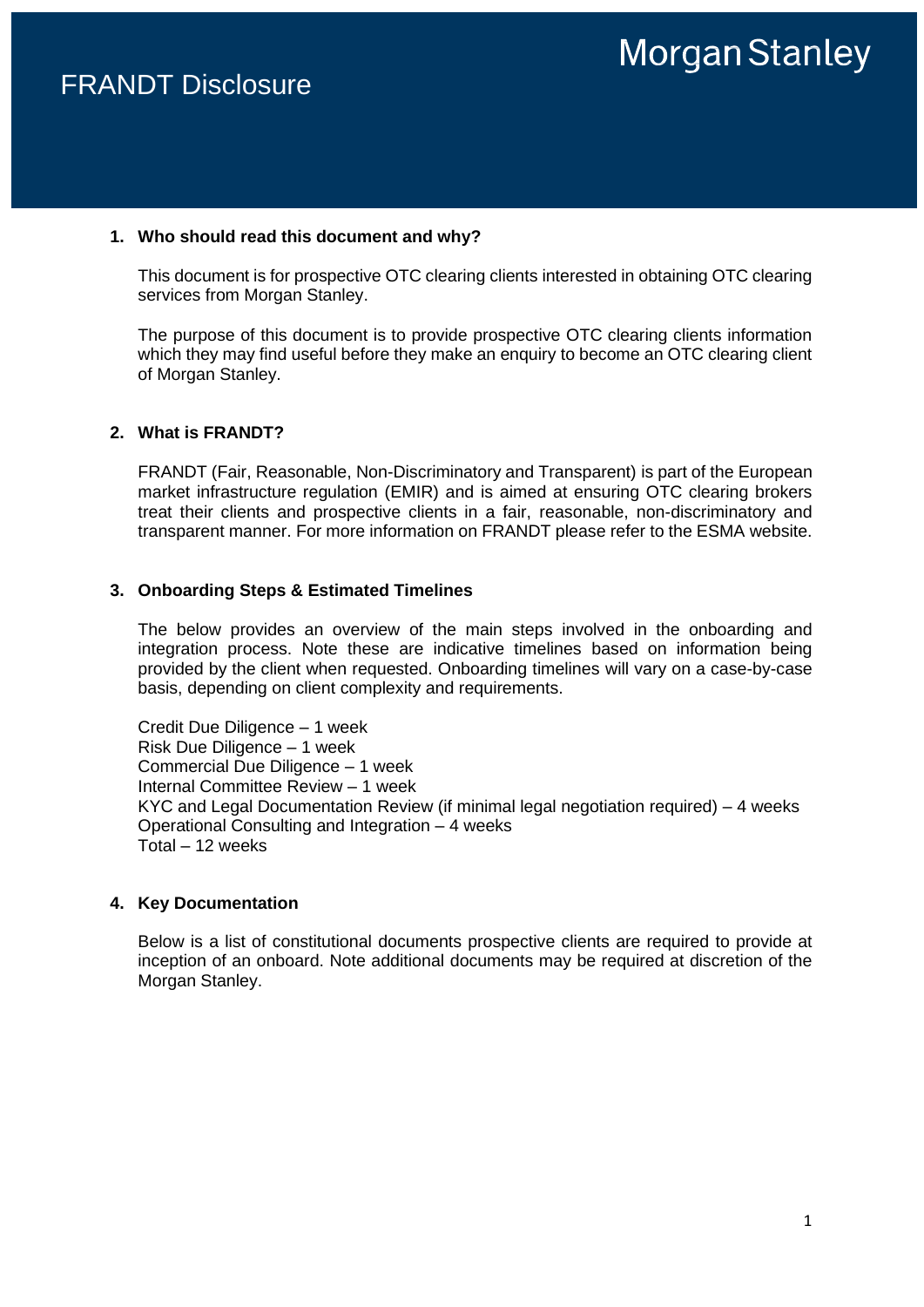#### **1. Who should read this document and why?**

This document is for prospective OTC clearing clients interested in obtaining OTC clearing services from Morgan Stanley.

The purpose of this document is to provide prospective OTC clearing clients information which they may find useful before they make an enquiry to become an OTC clearing client of Morgan Stanley.

#### **2. What is FRANDT?**

FRANDT (Fair, Reasonable, Non-Discriminatory and Transparent) is part of the European market infrastructure regulation (EMIR) and is aimed at ensuring OTC clearing brokers treat their clients and prospective clients in a fair, reasonable, non-discriminatory and transparent manner. For more information on FRANDT please refer to the ESMA website.

#### **3. Onboarding Steps & Estimated Timelines**

The below provides an overview of the main steps involved in the onboarding and integration process. Note these are indicative timelines based on information being provided by the client when requested. Onboarding timelines will vary on a case-by-case basis, depending on client complexity and requirements.

Credit Due Diligence – 1 week Risk Due Diligence – 1 week Commercial Due Diligence – 1 week Internal Committee Review – 1 week KYC and Legal Documentation Review (if minimal legal negotiation required) – 4 weeks Operational Consulting and Integration – 4 weeks Total – 12 weeks

#### **4. Key Documentation**

Below is a list of constitutional documents prospective clients are required to provide at inception of an onboard. Note additional documents may be required at discretion of the Morgan Stanley.